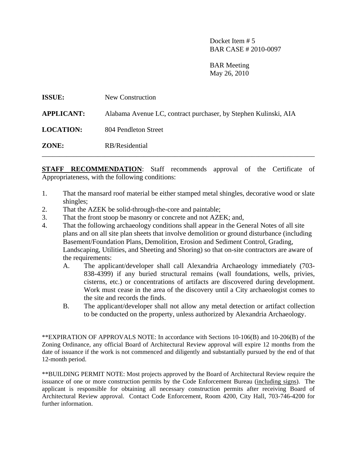Docket Item # 5 BAR CASE # 2010-0097

 BAR Meeting May 26, 2010

| <b>ISSUE:</b>     | New Construction                                                |
|-------------------|-----------------------------------------------------------------|
| <b>APPLICANT:</b> | Alabama Avenue LC, contract purchaser, by Stephen Kulinski, AIA |
| <b>LOCATION:</b>  | 804 Pendleton Street                                            |
| ZONE:             | RB/Residential                                                  |

**STAFF RECOMMENDATION:** Staff recommends approval of the Certificate of Appropriateness, with the following conditions:

- 1. That the mansard roof material be either stamped metal shingles, decorative wood or slate shingles;
- 2. That the AZEK be solid-through-the-core and paintable;
- 3. That the front stoop be masonry or concrete and not AZEK; and,
- 4. That the following archaeology conditions shall appear in the General Notes of all site plans and on all site plan sheets that involve demolition or ground disturbance (including Basement/Foundation Plans, Demolition, Erosion and Sediment Control, Grading, Landscaping, Utilities, and Sheeting and Shoring) so that on-site contractors are aware of the requirements:
	- A. The applicant/developer shall call Alexandria Archaeology immediately (703- 838-4399) if any buried structural remains (wall foundations, wells, privies, cisterns, etc.) or concentrations of artifacts are discovered during development. Work must cease in the area of the discovery until a City archaeologist comes to the site and records the finds.
	- B. The applicant/developer shall not allow any metal detection or artifact collection to be conducted on the property, unless authorized by Alexandria Archaeology.

\*\*EXPIRATION OF APPROVALS NOTE: In accordance with Sections 10-106(B) and 10-206(B) of the Zoning Ordinance, any official Board of Architectural Review approval will expire 12 months from the date of issuance if the work is not commenced and diligently and substantially pursued by the end of that 12-month period.

\*\*BUILDING PERMIT NOTE: Most projects approved by the Board of Architectural Review require the issuance of one or more construction permits by the Code Enforcement Bureau (including signs). The applicant is responsible for obtaining all necessary construction permits after receiving Board of Architectural Review approval. Contact Code Enforcement, Room 4200, City Hall, 703-746-4200 for further information.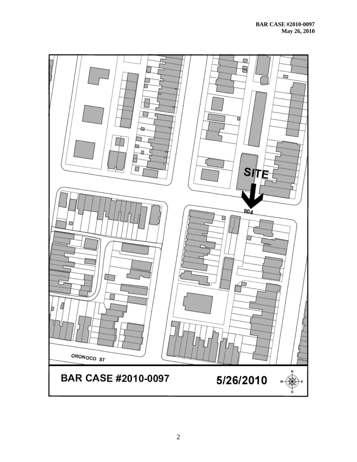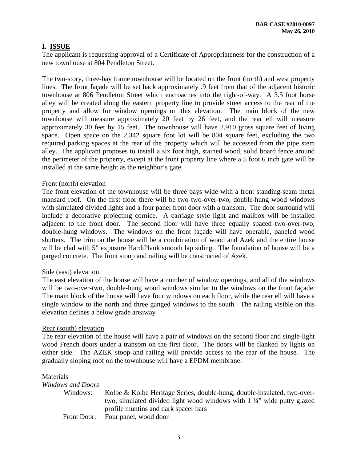## **I. ISSUE**

The applicant is requesting approval of a Certificate of Appropriateness for the construction of a new townhouse at 804 Pendleton Street.

The two-story, three-bay frame townhouse will be located on the front (north) and west property lines. The front façade will be set back approximately .9 feet from that of the adjacent historic townhouse at 806 Pendleton Street which encroaches into the right-of-way. A 3.5 foot horse alley will be created along the eastern property line to provide street access to the rear of the property and allow for window openings on this elevation. The main block of the new townhouse will measure approximately 20 feet by 26 feet, and the rear ell will measure approximately 30 feet by 15 feet. The townhouse will have 2,910 gross square feet of living space. Open space on the 2,342 square foot lot will be 804 square feet, excluding the two required parking spaces at the rear of the property which will be accessed from the pipe stem alley. The applicant proposes to install a six foot high, stained wood, solid board fence around the perimeter of the property, except at the front property line where a 5 foot 6 inch gate will be installed at the same height as the neighbor's gate.

#### Front (north) elevation

The front elevation of the townhouse will be three bays wide with a front standing-seam metal mansard roof. On the first floor there will be two two-over-two, double-hung wood windows with simulated divided lights and a four panel front door with a transom. The door surround will include a decorative projecting cornice. A carriage style light and mailbox will be installed adjacent to the front door. The second floor will have three equally spaced two-over-two, double-hung windows. The windows on the front façade will have operable, paneled wood shutters. The trim on the house will be a combination of wood and Azek and the entire house will be clad with 5" exposure HardiPlank smooth lap siding. The foundation of house will be a parged concrete. The front stoop and railing will be constructed of Azek.

#### Side (east) elevation

The east elevation of the house will have a number of window openings, and all of the windows will be two-over-two, double-hung wood windows similar to the windows on the front façade. The main block of the house will have four windows on each floor, while the rear ell will have a single window to the north and three ganged windows to the south. The railing visible on this elevation defines a below grade areaway

#### Rear (south) elevation

The rear elevation of the house will have a pair of windows on the second floor and single-light wood French doors under a transom on the first floor. The doors will be flanked by lights on either side. The AZEK stoop and railing will provide access to the rear of the house. The gradually sloping roof on the townhouse will have a EPDM membrane.

#### Materials

| Windows and Doors |                                                                                   |
|-------------------|-----------------------------------------------------------------------------------|
| Windows:          | Kolbe & Kolbe Heritage Series, double-hung, double-insulated, two-over-           |
|                   | two, simulated divided light wood windows with $1\frac{1}{4}$ " wide putty glazed |
|                   | profile muntins and dark spacer bars                                              |
| Front Door:       | Four panel, wood door                                                             |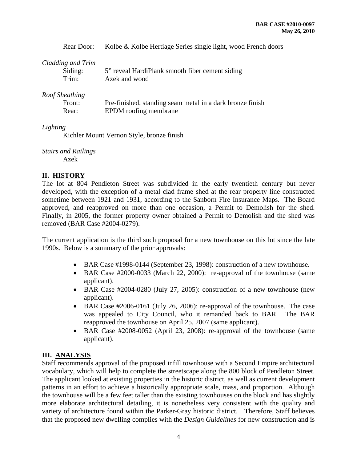Rear Door: Kolbe & Kolbe Hertiage Series single light, wood French doors

## *Cladding and Trim*

| Siding: | 5" reveal HardiPlank smooth fiber cement siding |
|---------|-------------------------------------------------|
| Trim:   | Azek and wood                                   |

## *Roof Sheathing*

| Front: | Pre-finished, standing seam metal in a dark bronze finish |
|--------|-----------------------------------------------------------|
| Rear:  | EPDM roofing membrane                                     |

### *Lighting*

Kichler Mount Vernon Style, bronze finish

# *Stairs and Railings*

Azek

## **II. HISTORY**

The lot at 804 Pendleton Street was subdivided in the early twentieth century but never developed, with the exception of a metal clad frame shed at the rear property line constructed sometime between 1921 and 1931, according to the Sanborn Fire Insurance Maps. The Board approved, and reapproved on more than one occasion, a Permit to Demolish for the shed. Finally, in 2005, the former property owner obtained a Permit to Demolish and the shed was removed (BAR Case #2004-0279).

The current application is the third such proposal for a new townhouse on this lot since the late 1990s. Below is a summary of the prior approvals:

- BAR Case #1998-0144 (September 23, 1998): construction of a new townhouse.
- BAR Case #2000-0033 (March 22, 2000): re-approval of the townhouse (same applicant).
- BAR Case #2004-0280 (July 27, 2005): construction of a new townhouse (new applicant).
- BAR Case #2006-0161 (July 26, 2006): re-approval of the townhouse. The case was appealed to City Council, who it remanded back to BAR. The BAR reapproved the townhouse on April 25, 2007 (same applicant).
- BAR Case #2008-0052 (April 23, 2008): re-approval of the townhouse (same applicant).

## **III. ANALYSIS**

Staff recommends approval of the proposed infill townhouse with a Second Empire architectural vocabulary, which will help to complete the streetscape along the 800 block of Pendleton Street. The applicant looked at existing properties in the historic district, as well as current development patterns in an effort to achieve a historically appropriate scale, mass, and proportion. Although the townhouse will be a few feet taller than the existing townhouses on the block and has slightly more elaborate architectural detailing, it is nonetheless very consistent with the quality and variety of architecture found within the Parker-Gray historic district. Therefore, Staff believes that the proposed new dwelling complies with the *Design Guidelines* for new construction and is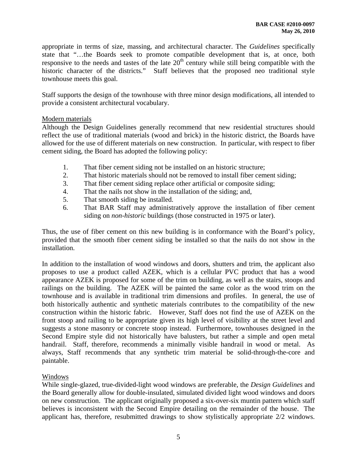appropriate in terms of size, massing, and architectural character. The *Guidelines* specifically state that "…the Boards seek to promote compatible development that is, at once, both responsive to the needs and tastes of the late  $20<sup>th</sup>$  century while still being compatible with the historic character of the districts." Staff believes that the proposed neo traditional style townhouse meets this goal.

Staff supports the design of the townhouse with three minor design modifications, all intended to provide a consistent architectural vocabulary.

### Modern materials

Although the Design Guidelines generally recommend that new residential structures should reflect the use of traditional materials (wood and brick) in the historic district, the Boards have allowed for the use of different materials on new construction. In particular, with respect to fiber cement siding, the Board has adopted the following policy:

- 1. That fiber cement siding not be installed on an historic structure;
- 2. That historic materials should not be removed to install fiber cement siding;
- 3. That fiber cement siding replace other artificial or composite siding;
- 4. That the nails not show in the installation of the siding; and,
- 5. That smooth siding be installed.
- 6. That BAR Staff may administratively approve the installation of fiber cement siding on *non-historic* buildings (those constructed in 1975 or later).

Thus, the use of fiber cement on this new building is in conformance with the Board's policy, provided that the smooth fiber cement siding be installed so that the nails do not show in the installation.

In addition to the installation of wood windows and doors, shutters and trim, the applicant also proposes to use a product called AZEK, which is a cellular PVC product that has a wood appearance AZEK is proposed for some of the trim on building, as well as the stairs, stoops and railings on the building. The AZEK will be painted the same color as the wood trim on the townhouse and is available in traditional trim dimensions and profiles. In general, the use of both historically authentic and synthetic materials contributes to the compatibility of the new construction within the historic fabric. However, Staff does not find the use of AZEK on the front stoop and railing to be appropriate given its high level of visibility at the street level and suggests a stone masonry or concrete stoop instead. Furthermore, townhouses designed in the Second Empire style did not historically have balusters, but rather a simple and open metal handrail. Staff, therefore, recommends a minimally visible handrail in wood or metal. As always, Staff recommends that any synthetic trim material be solid-through-the-core and paintable.

## Windows

While single-glazed, true-divided-light wood windows are preferable, the *Design Guidelines* and the Board generally allow for double-insulated, simulated divided light wood windows and doors on new construction. The applicant originally proposed a six-over-six muntin pattern which staff believes is inconsistent with the Second Empire detailing on the remainder of the house. The applicant has, therefore, resubmitted drawings to show stylistically appropriate 2/2 windows.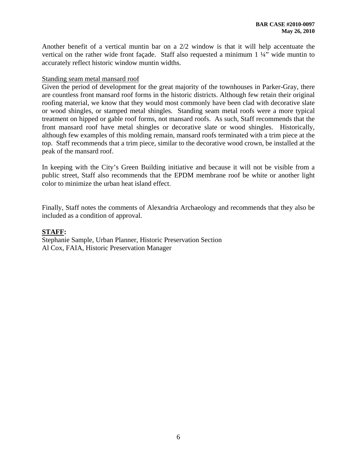Another benefit of a vertical muntin bar on a 2/2 window is that it will help accentuate the vertical on the rather wide front façade. Staff also requested a minimum 1 ¼" wide muntin to accurately reflect historic window muntin widths.

#### Standing seam metal mansard roof

Given the period of development for the great majority of the townhouses in Parker-Gray, there are countless front mansard roof forms in the historic districts. Although few retain their original roofing material, we know that they would most commonly have been clad with decorative slate or wood shingles, or stamped metal shingles. Standing seam metal roofs were a more typical treatment on hipped or gable roof forms, not mansard roofs. As such, Staff recommends that the front mansard roof have metal shingles or decorative slate or wood shingles. Historically, although few examples of this molding remain, mansard roofs terminated with a trim piece at the top. Staff recommends that a trim piece, similar to the decorative wood crown, be installed at the peak of the mansard roof.

In keeping with the City's Green Building initiative and because it will not be visible from a public street, Staff also recommends that the EPDM membrane roof be white or another light color to minimize the urban heat island effect.

Finally, Staff notes the comments of Alexandria Archaeology and recommends that they also be included as a condition of approval.

#### **STAFF:**

Stephanie Sample, Urban Planner, Historic Preservation Section Al Cox, FAIA, Historic Preservation Manager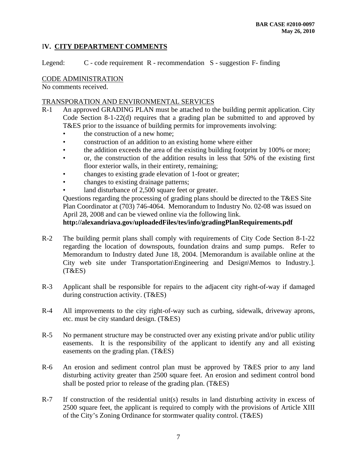## I**V. CITY DEPARTMENT COMMENTS**

Legend: C - code requirement R - recommendation S - suggestion F- finding

### CODE ADMINISTRATION

No comments received.

### TRANSPORATION AND ENVIRONMENTAL SERVICES

- R-1 An approved GRADING PLAN must be attached to the building permit application. City Code Section 8-1-22(d) requires that a grading plan be submitted to and approved by T&ES prior to the issuance of building permits for improvements involving:
	- the construction of a new home:
	- construction of an addition to an existing home where either
	- the addition exceeds the area of the existing building footprint by 100% or more;
	- or, the construction of the addition results in less that 50% of the existing first floor exterior walls, in their entirety, remaining;
	- changes to existing grade elevation of 1-foot or greater;
	- changes to existing drainage patterns;
	- land disturbance of 2,500 square feet or greater.

Questions regarding the processing of grading plans should be directed to the T&ES Site Plan Coordinator at (703) 746-4064. Memorandum to Industry No. 02-08 was issued on April 28, 2008 and can be viewed online via the following link.

## **http://alexandriava.gov/uploadedFiles/tes/info/gradingPlanRequirements.pdf**

- R-2 The building permit plans shall comply with requirements of City Code Section 8-1-22 regarding the location of downspouts, foundation drains and sump pumps. Refer to Memorandum to Industry dated June 18, 2004. [Memorandum is available online at the City web site under Transportation\Engineering and Design\Memos to Industry.]. (T&ES)
- R-3 Applicant shall be responsible for repairs to the adjacent city right-of-way if damaged during construction activity. (T&ES)
- R-4 All improvements to the city right-of-way such as curbing, sidewalk, driveway aprons, etc. must be city standard design. (T&ES)
- R-5 No permanent structure may be constructed over any existing private and/or public utility easements. It is the responsibility of the applicant to identify any and all existing easements on the grading plan. (T&ES)
- R-6 An erosion and sediment control plan must be approved by T&ES prior to any land disturbing activity greater than 2500 square feet. An erosion and sediment control bond shall be posted prior to release of the grading plan. (T&ES)
- R-7 If construction of the residential unit(s) results in land disturbing activity in excess of 2500 square feet, the applicant is required to comply with the provisions of Article XIII of the City's Zoning Ordinance for stormwater quality control. (T&ES)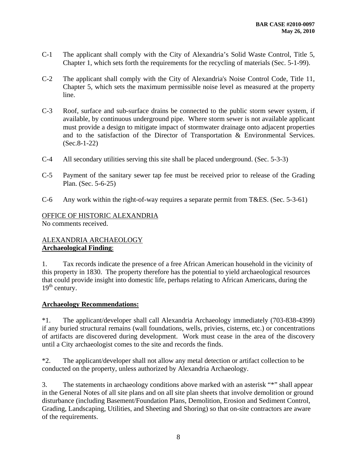- C-1 The applicant shall comply with the City of Alexandria's Solid Waste Control, Title 5, Chapter 1, which sets forth the requirements for the recycling of materials (Sec. 5-1-99).
- C-2 The applicant shall comply with the City of Alexandria's Noise Control Code, Title 11, Chapter 5, which sets the maximum permissible noise level as measured at the property line.
- C-3 Roof, surface and sub-surface drains be connected to the public storm sewer system, if available, by continuous underground pipe. Where storm sewer is not available applicant must provide a design to mitigate impact of stormwater drainage onto adjacent properties and to the satisfaction of the Director of Transportation & Environmental Services. (Sec.8-1-22)
- C-4 All secondary utilities serving this site shall be placed underground. (Sec. 5-3-3)
- C-5 Payment of the sanitary sewer tap fee must be received prior to release of the Grading Plan. (Sec. 5-6-25)
- C-6 Any work within the right-of-way requires a separate permit from T&ES. (Sec. 5-3-61)

## OFFICE OF HISTORIC ALEXANDRIA No comments received.

## ALEXANDRIA ARCHAEOLOGY **Archaeological Finding**:

1. Tax records indicate the presence of a free African American household in the vicinity of this property in 1830. The property therefore has the potential to yield archaeological resources that could provide insight into domestic life, perhaps relating to African Americans, during the  $19<sup>th</sup>$  century.

## **Archaeology Recommendations:**

\*1. The applicant/developer shall call Alexandria Archaeology immediately (703-838-4399) if any buried structural remains (wall foundations, wells, privies, cisterns, etc.) or concentrations of artifacts are discovered during development. Work must cease in the area of the discovery until a City archaeologist comes to the site and records the finds.

\*2. The applicant/developer shall not allow any metal detection or artifact collection to be conducted on the property, unless authorized by Alexandria Archaeology.

3. The statements in archaeology conditions above marked with an asterisk "\*" shall appear in the General Notes of all site plans and on all site plan sheets that involve demolition or ground disturbance (including Basement/Foundation Plans, Demolition, Erosion and Sediment Control, Grading, Landscaping, Utilities, and Sheeting and Shoring) so that on-site contractors are aware of the requirements.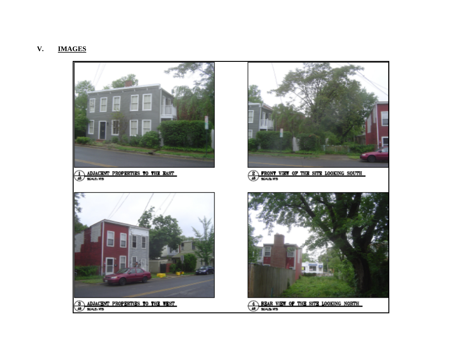#### **V.IMAGES**

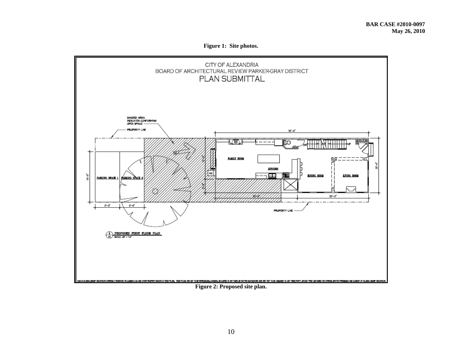**Figure 1: Site photos.** 



#### **Figure 2: Proposed site plan.**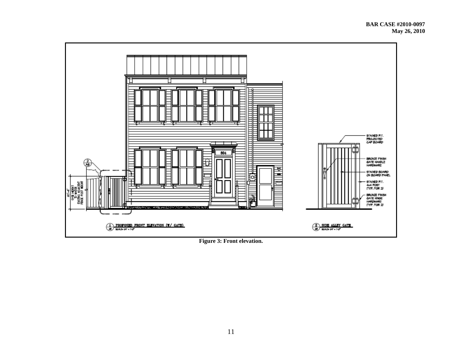

**Figure 3: Front elevation.**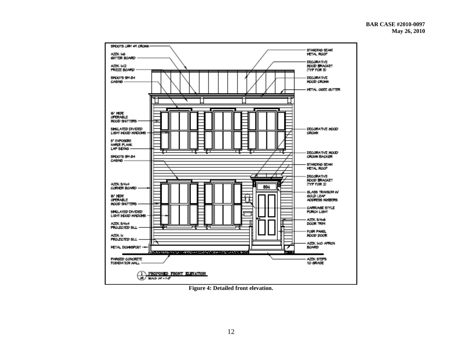

**Figure 4: Detailed front elevation.**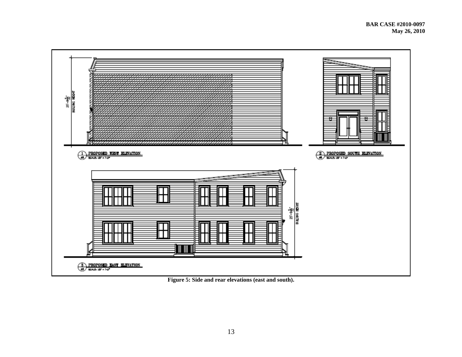

**Figure 5: Side and rear elevations (east and south).**